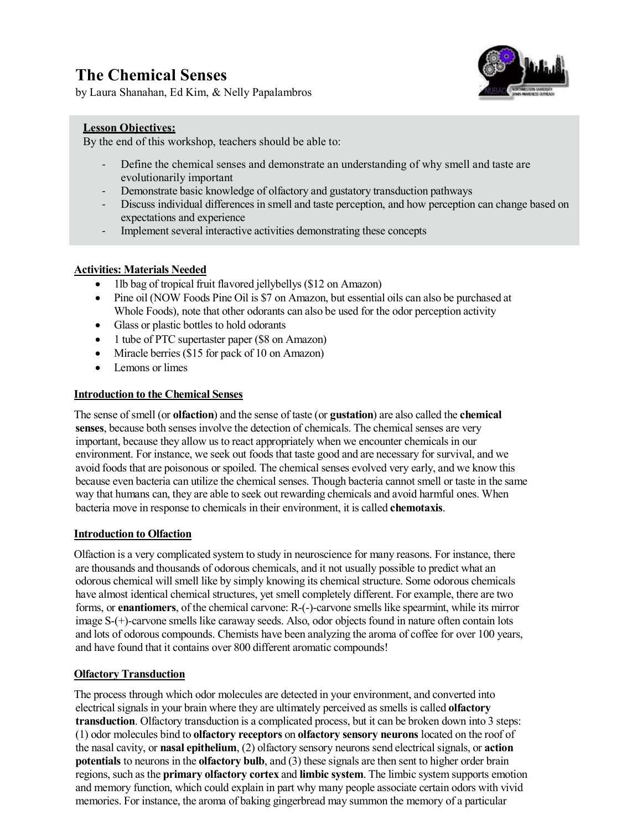# **The Chemical Senses**

by Laura Shanahan, Ed Kim, & Nelly Papalambros



## **Lesson Objectives:**

By the end of this workshop, teachers should be able to:

- Define the chemical senses and demonstrate an understanding of why smell and taste are evolutionarily important
- Demonstrate basic knowledge of olfactory and gustatory transduction pathways
- Discuss individual differences in smell and taste perception, and how perception can change based on expectations and experience
- Implement several interactive activities demonstrating these concepts

## **Activities: Materials Needed**

- 1lb bag of tropical fruit flavored jellybellys (\$12 on Amazon)
- Pine oil (NOW Foods Pine Oil is \$7 on Amazon, but essential oils can also be purchased at Whole Foods), note that other odorants can also be used for the odor perception activity
- Glass or plastic bottles to hold odorants
- 1 tube of PTC supertaster paper (\$8 on Amazon)
- Miracle berries (\$15 for pack of 10 on Amazon)
- Lemons or limes

#### **Introduction to the Chemical Senses**

The sense of smell (or **olfaction**) and the sense of taste (or **gustation**) are also called the **chemical senses**, because both senses involve the detection of chemicals. The chemical senses are very important, because they allow us to react appropriately when we encounter chemicals in our environment. For instance, we seek out foods that taste good and are necessary for survival, and we avoid foods that are poisonous or spoiled. The chemical senses evolved very early, and we know this because even bacteria can utilize the chemical senses. Though bacteria cannot smell or taste in the same way that humans can, they are able to seek out rewarding chemicals and avoid harmful ones. When bacteria move in response to chemicals in their environment, it is called **chemotaxis**.

#### **Introduction to Olfaction**

Olfaction is a very complicated system to study in neuroscience for many reasons. For instance, there are thousands and thousands of odorous chemicals, and it not usually possible to predict what an odorous chemical will smell like by simply knowing its chemical structure. Some odorous chemicals have almost identical chemical structures, yet smell completely different. For example, there are two forms, or **enantiomers**, of the chemical carvone: R-(-)-carvone smells like spearmint, while its mirror image S-(+)-carvone smells like caraway seeds. Also, odor objects found in nature often contain lots and lots of odorous compounds. Chemists have been analyzing the aroma of coffee for over 100 years, and have found that it contains over 800 different aromatic compounds!

#### **Olfactory Transduction**

The process through which odor molecules are detected in your environment, and converted into electrical signals in your brain where they are ultimately perceived as smells is called **olfactory transduction**. Olfactory transduction is a complicated process, but it can be broken down into 3 steps: (1) odor molecules bind to **olfactory receptors** on **olfactory sensory neurons** located on the roof of the nasal cavity, or **nasal epithelium**, (2) olfactory sensory neurons send electrical signals, or **action potentials** to neurons in the **olfactory bulb**, and (3) these signals are then sent to higher order brain regions, such as the **primary olfactory cortex** and **limbic system**. The limbic system supports emotion and memory function, which could explain in part why many people associate certain odors with vivid memories. For instance, the aroma of baking gingerbread may summon the memory of a particular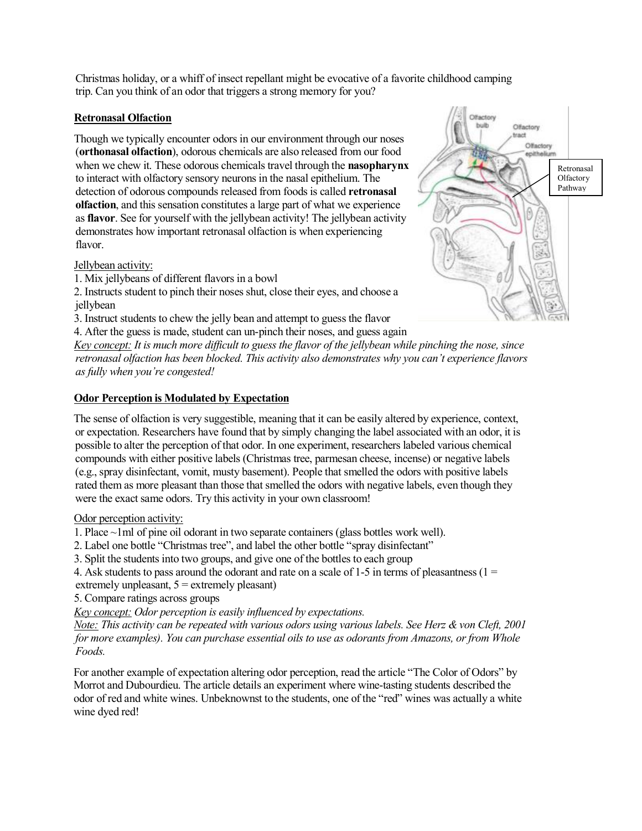Christmas holiday, or a whiff of insect repellant might be evocative of a favorite childhood camping trip. Can you think of an odor that triggers a strong memory for you?

# **Retronasal Olfaction**

Though we typically encounter odors in our environment through our noses (**orthonasal olfaction**), odorous chemicals are also released from our food when we chew it. These odorous chemicals travel through the **nasopharynx** to interact with olfactory sensory neurons in the nasal epithelium. The detection of odorous compounds released from foods is called **retronasal olfaction**, and this sensation constitutes a large part of what we experience as **flavor**. See for yourself with the jellybean activity! The jellybean activity demonstrates how important retronasal olfaction is when experiencing flavor.

## Jellybean activity:

1. Mix jellybeans of different flavors in a bowl

2. Instructs student to pinch their noses shut, close their eyes, and choose a jellybean

3. Instruct students to chew the jelly bean and attempt to guess the flavor

4. After the guess is made, student can un-pinch their noses, and guess again

*Key concept: It is much more difficult to guess the flavor of the jellybean while pinching the nose, since retronasal olfaction has been blocked. This activity also demonstrates why you can't experience flavors as fully when you're congested!*

# **Odor Perception is Modulated by Expectation**

The sense of olfaction is very suggestible, meaning that it can be easily altered by experience, context, or expectation. Researchers have found that by simply changing the label associated with an odor, it is possible to alter the perception of that odor. In one experiment, researchers labeled various chemical compounds with either positive labels (Christmas tree, parmesan cheese, incense) or negative labels (e.g., spray disinfectant, vomit, musty basement). People that smelled the odors with positive labels rated them as more pleasant than those that smelled the odors with negative labels, even though they were the exact same odors. Try this activity in your own classroom!

## Odor perception activity:

1. Place ~1ml of pine oil odorant in two separate containers (glass bottles work well).

2. Label one bottle "Christmas tree", and label the other bottle "spray disinfectant"

3. Split the students into two groups, and give one of the bottles to each group

4. Ask students to pass around the odorant and rate on a scale of 1-5 in terms of pleasantness ( $1 =$ 

extremely unpleasant,  $5 =$  extremely pleasant)

5. Compare ratings across groups

*Key concept: Odor perception is easily influenced by expectations.*

*Note: This activity can be repeated with various odors using various labels. See Herz & von Cleft, 2001 for more examples). You can purchase essential oils to use as odorants from Amazons, or from Whole Foods.* 

For another example of expectation altering odor perception, read the article "The Color of Odors" by Morrot and Dubourdieu. The article details an experiment where wine-tasting students described the odor of red and white wines. Unbeknownst to the students, one of the "red" wines was actually a white wine dyed red!

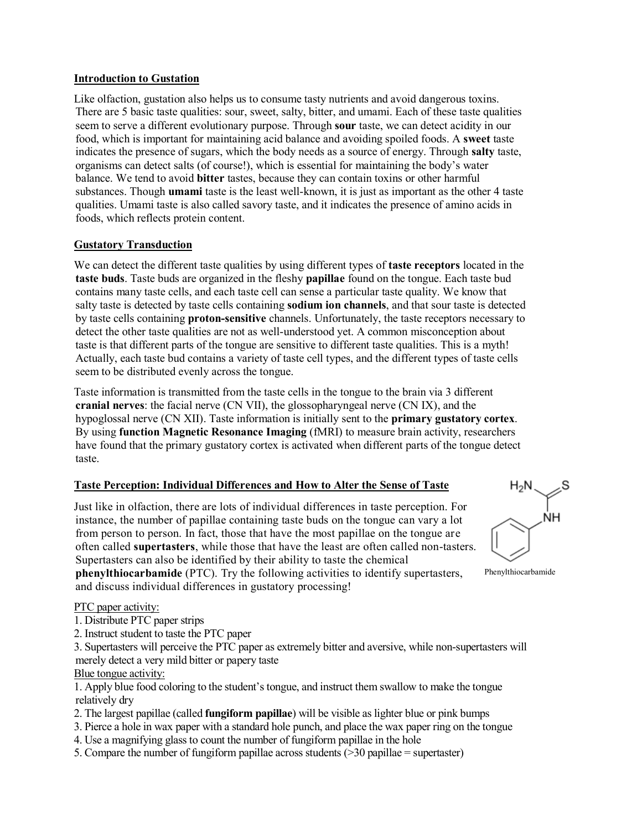## **Introduction to Gustation**

Like olfaction, gustation also helps us to consume tasty nutrients and avoid dangerous toxins. There are 5 basic taste qualities: sour, sweet, salty, bitter, and umami. Each of these taste qualities seem to serve a different evolutionary purpose. Through **sour** taste, we can detect acidity in our food, which is important for maintaining acid balance and avoiding spoiled foods. A **sweet** taste indicates the presence of sugars, which the body needs as a source of energy. Through **salty** taste, organisms can detect salts (of course!), which is essential for maintaining the body's water balance. We tend to avoid **bitter** tastes, because they can contain toxins or other harmful substances. Though **umami** taste is the least well-known, it is just as important as the other 4 taste qualities. Umami taste is also called savory taste, and it indicates the presence of amino acids in foods, which reflects protein content.

# **Gustatory Transduction**

We can detect the different taste qualities by using different types of **taste receptors** located in the **taste buds**. Taste buds are organized in the fleshy **papillae** found on the tongue. Each taste bud contains many taste cells, and each taste cell can sense a particular taste quality. We know that salty taste is detected by taste cells containing **sodium ion channels**, and that sour taste is detected by taste cells containing **proton-sensitive** channels. Unfortunately, the taste receptors necessary to detect the other taste qualities are not as well-understood yet. A common misconception about taste is that different parts of the tongue are sensitive to different taste qualities. This is a myth! Actually, each taste bud contains a variety of taste cell types, and the different types of taste cells seem to be distributed evenly across the tongue.

Taste information is transmitted from the taste cells in the tongue to the brain via 3 different **cranial nerves**: the facial nerve (CN VII), the glossopharyngeal nerve (CN IX), and the hypoglossal nerve (CN XII). Taste information is initially sent to the **primary gustatory cortex**. By using **function Magnetic Resonance Imaging** (fMRI) to measure brain activity, researchers have found that the primary gustatory cortex is activated when different parts of the tongue detect taste.

# **Taste Perception: Individual Differences and How to Alter the Sense of Taste**

Just like in olfaction, there are lots of individual differences in taste perception. For instance, the number of papillae containing taste buds on the tongue can vary a lot from person to person. In fact, those that have the most papillae on the tongue are often called **supertasters**, while those that have the least are often called non-tasters. Supertasters can also be identified by their ability to taste the chemical

**phenylthiocarbamide** (PTC). Try the following activities to identify supertasters, and discuss individual differences in gustatory processing!

#### PTC paper activity:

- 1. Distribute PTC paper strips
- 2. Instruct student to taste the PTC paper

3. Supertasters will perceive the PTC paper as extremely bitter and aversive, while non-supertasters will merely detect a very mild bitter or papery taste

#### Blue tongue activity:

1. Apply blue food coloring to the student's tongue, and instruct them swallow to make the tongue relatively dry

- 2. The largest papillae (called **fungiform papillae**) will be visible as lighter blue or pink bumps
- 3. Pierce a hole in wax paper with a standard hole punch, and place the wax paper ring on the tongue
- 4. Use a magnifying glass to count the number of fungiform papillae in the hole
- 5. Compare the number of fungiform papillae across students  $($ >30 papillae = supertaster)

Phenylthiocarbamide